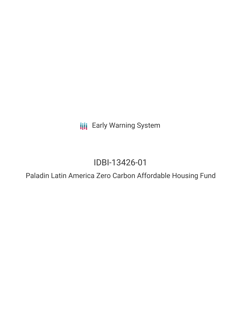**III** Early Warning System

# IDBI-13426-01

Paladin Latin America Zero Carbon Affordable Housing Fund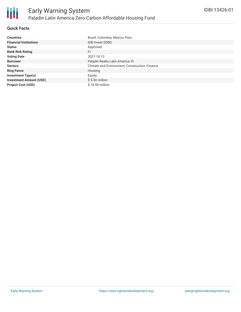

# **Quick Facts**

| <b>Countries</b>               | Brazil, Colombia, Mexico, Peru                 |
|--------------------------------|------------------------------------------------|
| <b>Financial Institutions</b>  | IDB Invest (IDBI)                              |
| <b>Status</b>                  | Approved                                       |
| <b>Bank Risk Rating</b>        | FI                                             |
| <b>Voting Date</b>             | 2021-10-12                                     |
| <b>Borrower</b>                | Paladin Realty Latin America VI                |
| <b>Sectors</b>                 | Climate and Environment, Construction, Finance |
| <b>Ring Fence</b>              | Housing                                        |
| <b>Investment Type(s)</b>      | Equity                                         |
| <b>Investment Amount (USD)</b> | $$5.00$ million                                |
| <b>Project Cost (USD)</b>      | $$10.00$ million                               |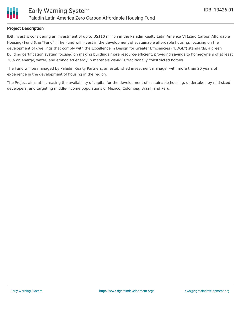

# **Project Description**

IDB Invest is considering an investment of up to US\$10 million in the Paladin Realty Latin America VI (Zero Carbon Affordable Housing) Fund (the "Fund"). The Fund will invest in the development of sustainable affordable housing, focusing on the development of dwellings that comply with the Excellence in Design for Greater Efficiencies ("EDGE") standards, a green building certification system focused on making buildings more resource-efficient, providing savings to homeowners of at least 20% on energy, water, and embodied energy in materials vis-a-vis traditionally constructed homes.

The Fund will be managed by Paladin Realty Partners, an established investment manager with more than 20 years of experience in the development of housing in the region.

The Project aims at increasing the availability of capital for the development of sustainable housing, undertaken by mid-sized developers, and targeting middle-income populations of Mexico, Colombia, Brazil, and Peru.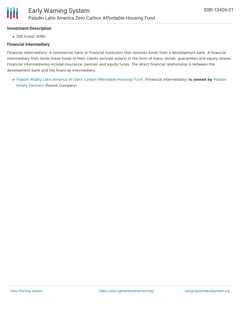# **Investment Description**

• IDB Invest (IDBI)

## **Financial Intermediary**

Financial Intermediary: A commercial bank or financial institution that receives funds from a development bank. A financial intermediary then lends these funds to their clients (private actors) in the form of loans, bonds, guarantees and equity shares. Financial intermediaries include insurance, pension and equity funds. The direct financial relationship is between the development bank and the financial intermediary.

Paladin Realty Latin America VI (Zero Carbon [Affordable](file:///actor/5866/) Housing) Fund (Financial [Intermediary\)](file:///actor/5867/) **is owned by** Paladin Realty Partners (Parent Company)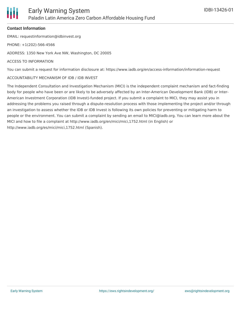## **Contact Information**

EMAIL: requestinformation@idbinvest.org

PHONE: +1(202)-566-4566

ADDRESS: 1350 New York Ave NW, Washington, DC 20005

#### ACCESS TO INFORMATION

You can submit a request for information disclosure at: https://www.iadb.org/en/access-information/information-request

#### ACCOUNTABILITY MECHANISM OF IDB / IDB INVEST

The Independent Consultation and Investigation Mechanism (MICI) is the independent complaint mechanism and fact-finding body for people who have been or are likely to be adversely affected by an Inter-American Development Bank (IDB) or Inter-American Investment Corporation (IDB Invest)-funded project. If you submit a complaint to MICI, they may assist you in addressing the problems you raised through a dispute-resolution process with those implementing the project and/or through an investigation to assess whether the IDB or IDB Invest is following its own policies for preventing or mitigating harm to people or the environment. You can submit a complaint by sending an email to MICI@iadb.org. You can learn more about the MICI and how to file a complaint at http://www.iadb.org/en/mici/mici,1752.html (in English) or http://www.iadb.org/es/mici/mici,1752.html (Spanish).